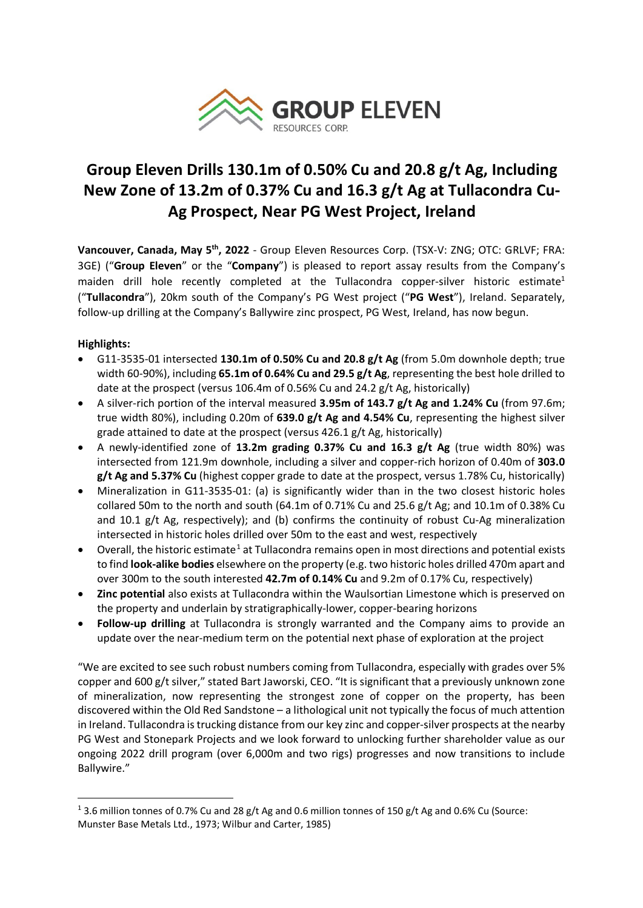

# **Group Eleven Drills 130.1m of 0.50% Cu and 20.8 g/t Ag, Including New Zone of 13.2m of 0.37% Cu and 16.3 g/t Ag at Tullacondra Cu-Ag Prospect, Near PG West Project, Ireland**

**Vancouver, Canada, May 5th, 2022** - Group Eleven Resources Corp. (TSX-V: ZNG; OTC: GRLVF; FRA: 3GE) ("**Group Eleven**" or the "**Company**") is pleased to report assay results from the Company's maiden drill hole recently completed at the Tullacondra copper-silver historic estimate<sup>1</sup> ("**Tullacondra**"), 20km south of the Company's PG West project ("**PG West**"), Ireland. Separately, follow-up drilling at the Company's Ballywire zinc prospect, PG West, Ireland, has now begun.

# **Highlights:**

- G11-3535-01 intersected **130.1m of 0.50% Cu and 20.8 g/t Ag** (from 5.0m downhole depth; true width 60-90%), including **65.1m of 0.64% Cu and 29.5 g/t Ag**, representing the best hole drilled to date at the prospect (versus 106.4m of 0.56% Cu and 24.2 g/t Ag, historically)
- A silver-rich portion of the interval measured **3.95m of 143.7 g/t Ag and 1.24% Cu** (from 97.6m; true width 80%), including 0.20m of **639.0 g/t Ag and 4.54% Cu**, representing the highest silver grade attained to date at the prospect (versus 426.1 g/t Ag, historically)
- A newly-identified zone of **13.2m grading 0.37% Cu and 16.3 g/t Ag** (true width 80%) was intersected from 121.9m downhole, including a silver and copper-rich horizon of 0.40m of **303.0 g/t Ag and 5.37% Cu** (highest copper grade to date at the prospect, versus 1.78% Cu, historically)
- Mineralization in G11-3535-01: (a) is significantly wider than in the two closest historic holes collared 50m to the north and south (64.1m of 0.71% Cu and 25.6 g/t Ag; and 10.1m of 0.38% Cu and 10.1 g/t Ag, respectively); and (b) confirms the continuity of robust Cu-Ag mineralization intersected in historic holes drilled over 50m to the east and west, respectively
- Overall, the historic estimate<sup>[1](#page-0-0)</sup> at Tullacondra remains open in most directions and potential exists to find **look-alike bodies** elsewhere on the property (e.g. two historic holes drilled 470m apart and over 300m to the south interested **42.7m of 0.14% Cu** and 9.2m of 0.17% Cu, respectively)
- **Zinc potential** also exists at Tullacondra within the Waulsortian Limestone which is preserved on the property and underlain by stratigraphically-lower, copper-bearing horizons
- **Follow-up drilling** at Tullacondra is strongly warranted and the Company aims to provide an update over the near-medium term on the potential next phase of exploration at the project

"We are excited to see such robust numbers coming from Tullacondra, especially with grades over 5% copper and 600 g/t silver," stated Bart Jaworski, CEO. "It is significant that a previously unknown zone of mineralization, now representing the strongest zone of copper on the property, has been discovered within the Old Red Sandstone – a lithological unit not typically the focus of much attention in Ireland. Tullacondra is trucking distance from our key zinc and copper-silver prospects at the nearby PG West and Stonepark Projects and we look forward to unlocking further shareholder value as our ongoing 2022 drill program (over 6,000m and two rigs) progresses and now transitions to include Ballywire."

<span id="page-0-0"></span><sup>&</sup>lt;sup>1</sup> 3.6 million tonnes of 0.7% Cu and 28 g/t Ag and 0.6 million tonnes of 150 g/t Ag and 0.6% Cu (Source: Munster Base Metals Ltd., 1973; Wilbur and Carter, 1985)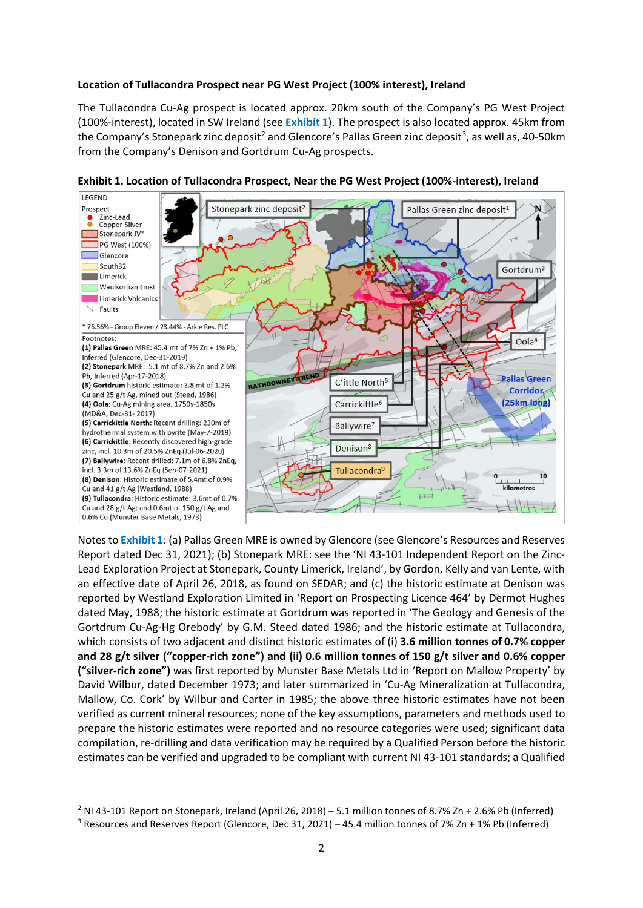#### **Location of Tullacondra Prospect near PG West Project (100% interest), Ireland**

The Tullacondra Cu-Ag prospect is located approx. 20km south of the Company's PG West Project (100%-interest), located in SW Ireland (see **Exhibit 1**). The prospect is also located approx. 45km from the Company's Stonepark zinc deposit<sup>[2](#page-1-0)</sup> and Glencore's Pallas Green zinc deposit<sup>[3](#page-1-1)</sup>, as well as, 40-50km from the Company's Denison and Gortdrum Cu-Ag prospects.





Notes to **Exhibit 1**: (a) Pallas Green MRE is owned by Glencore (see Glencore's Resources and Reserves Report dated Dec 31, 2021); (b) Stonepark MRE: see the 'NI 43-101 Independent Report on the Zinc-Lead Exploration Project at Stonepark, County Limerick, Ireland', by Gordon, Kelly and van Lente, with an effective date of April 26, 2018, as found on SEDAR; and (c) the historic estimate at Denison was reported by Westland Exploration Limited in 'Report on Prospecting Licence 464' by Dermot Hughes dated May, 1988; the historic estimate at Gortdrum was reported in 'The Geology and Genesis of the Gortdrum Cu-Ag-Hg Orebody' by G.M. Steed dated 1986; and the historic estimate at Tullacondra, which consists of two adjacent and distinct historic estimates of (i) **3.6 million tonnes of 0.7% copper and 28 g/t silver ("copper-rich zone") and (ii) 0.6 million tonnes of 150 g/t silver and 0.6% copper ("silver-rich zone")** was first reported by Munster Base Metals Ltd in 'Report on Mallow Property' by David Wilbur, dated December 1973; and later summarized in 'Cu-Ag Mineralization at Tullacondra, Mallow, Co. Cork' by Wilbur and Carter in 1985; the above three historic estimates have not been verified as current mineral resources; none of the key assumptions, parameters and methods used to prepare the historic estimates were reported and no resource categories were used; significant data compilation, re-drilling and data verification may be required by a Qualified Person before the historic estimates can be verified and upgraded to be compliant with current NI 43-101 standards; a Qualified

<span id="page-1-0"></span><sup>&</sup>lt;sup>2</sup> NI 43-101 Report on Stonepark, Ireland (April 26, 2018) – 5.1 million tonnes of 8.7% Zn + 2.6% Pb (Inferred)

<span id="page-1-1"></span><sup>&</sup>lt;sup>3</sup> Resources and Reserves Report (Glencore, Dec 31, 2021) – 45.4 million tonnes of 7% Zn + 1% Pb (Inferred)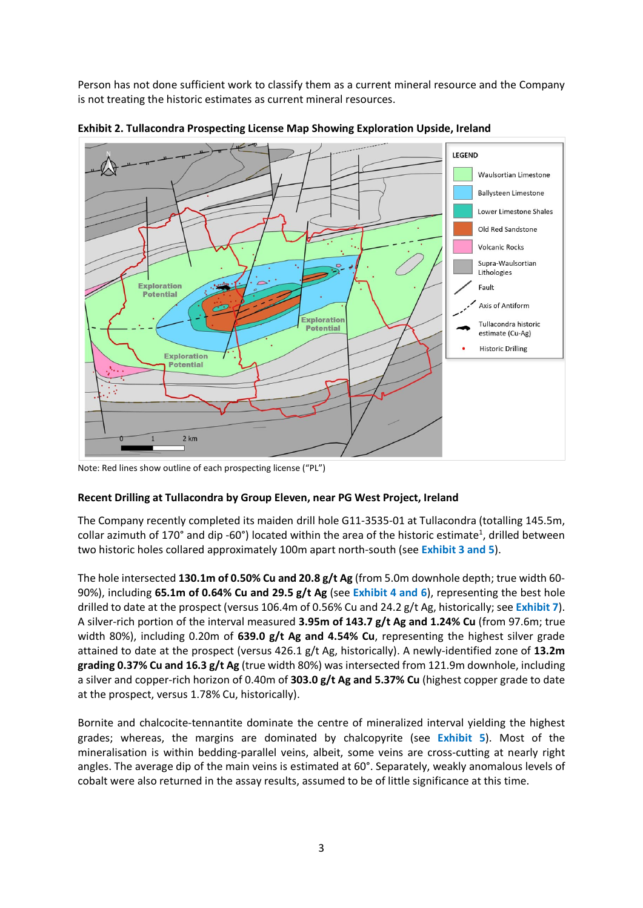Person has not done sufficient work to classify them as a current mineral resource and the Company is not treating the historic estimates as current mineral resources.



**Exhibit 2. Tullacondra Prospecting License Map Showing Exploration Upside, Ireland**

Note: Red lines show outline of each prospecting license ("PL")

# **Recent Drilling at Tullacondra by Group Eleven, near PG West Project, Ireland**

The Company recently completed its maiden drill hole G11-3535-01 at Tullacondra (totalling 145.5m, collar azimuth of 170° and dip -60°) located within the area of the historic estimate<sup>1</sup>, drilled between two historic holes collared approximately 100m apart north-south (see **Exhibit 3 and 5**).

The hole intersected **130.1m of 0.50% Cu and 20.8 g/t Ag** (from 5.0m downhole depth; true width 60- 90%), including **65.1m of 0.64% Cu and 29.5 g/t Ag** (see **Exhibit 4 and 6**), representing the best hole drilled to date at the prospect (versus 106.4m of 0.56% Cu and 24.2 g/t Ag, historically; see **Exhibit 7**). A silver-rich portion of the interval measured **3.95m of 143.7 g/t Ag and 1.24% Cu** (from 97.6m; true width 80%), including 0.20m of **639.0 g/t Ag and 4.54% Cu**, representing the highest silver grade attained to date at the prospect (versus 426.1 g/t Ag, historically). A newly-identified zone of **13.2m grading 0.37% Cu and 16.3 g/t Ag** (true width 80%) was intersected from 121.9m downhole, including a silver and copper-rich horizon of 0.40m of **303.0 g/t Ag and 5.37% Cu** (highest copper grade to date at the prospect, versus 1.78% Cu, historically).

Bornite and chalcocite-tennantite dominate the centre of mineralized interval yielding the highest grades; whereas, the margins are dominated by chalcopyrite (see **Exhibit 5**). Most of the mineralisation is within bedding-parallel veins, albeit, some veins are cross-cutting at nearly right angles. The average dip of the main veins is estimated at 60°. Separately, weakly anomalous levels of cobalt were also returned in the assay results, assumed to be of little significance at this time.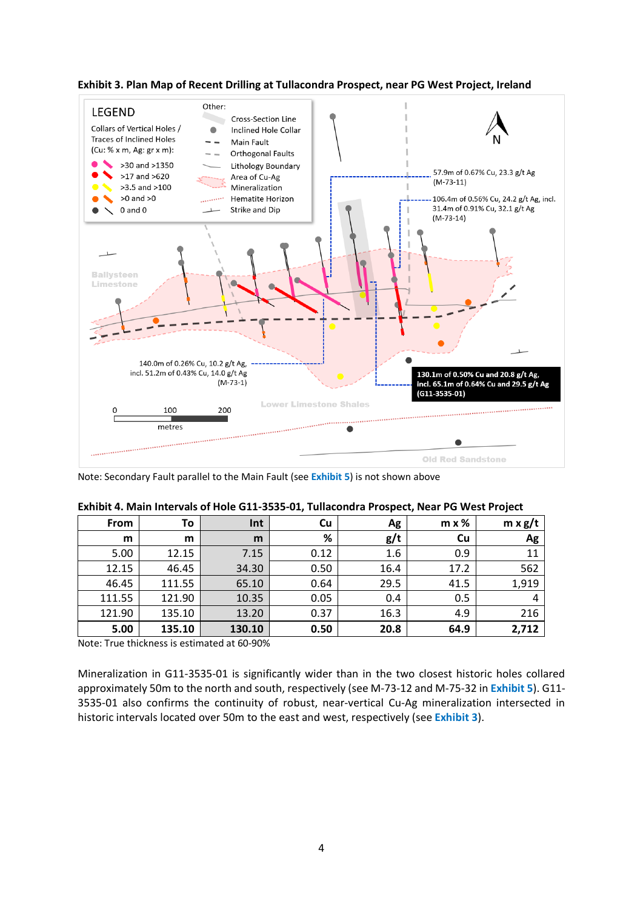

**Exhibit 3. Plan Map of Recent Drilling at Tullacondra Prospect, near PG West Project, Ireland**

Note: Secondary Fault parallel to the Main Fault (see **Exhibit 5**) is not shown above

| <b>From</b> | To     | Int    | Cu   | Ag   | $m \times \%$ | $m \times g/t$ |
|-------------|--------|--------|------|------|---------------|----------------|
| m           | m      | m      | %    | g/t  | Cu            | Ag             |
| 5.00        | 12.15  | 7.15   | 0.12 | 1.6  | 0.9           | 11             |
| 12.15       | 46.45  | 34.30  | 0.50 | 16.4 | 17.2          | 562            |
| 46.45       | 111.55 | 65.10  | 0.64 | 29.5 | 41.5          | 1,919          |
| 111.55      | 121.90 | 10.35  | 0.05 | 0.4  | 0.5           | 4              |
| 121.90      | 135.10 | 13.20  | 0.37 | 16.3 | 4.9           | 216            |
| 5.00        | 135.10 | 130.10 | 0.50 | 20.8 | 64.9          | 2,712          |

| Exhibit 4. Main Intervals of Hole G11-3535-01, Tullacondra Prospect, Near PG West Project |  |  |
|-------------------------------------------------------------------------------------------|--|--|
|-------------------------------------------------------------------------------------------|--|--|

Note: True thickness is estimated at 60-90%

Mineralization in G11-3535-01 is significantly wider than in the two closest historic holes collared approximately 50m to the north and south, respectively (see M-73-12 and M-75-32 in **Exhibit 5**). G11- 3535-01 also confirms the continuity of robust, near-vertical Cu-Ag mineralization intersected in historic intervals located over 50m to the east and west, respectively (see **Exhibit 3**).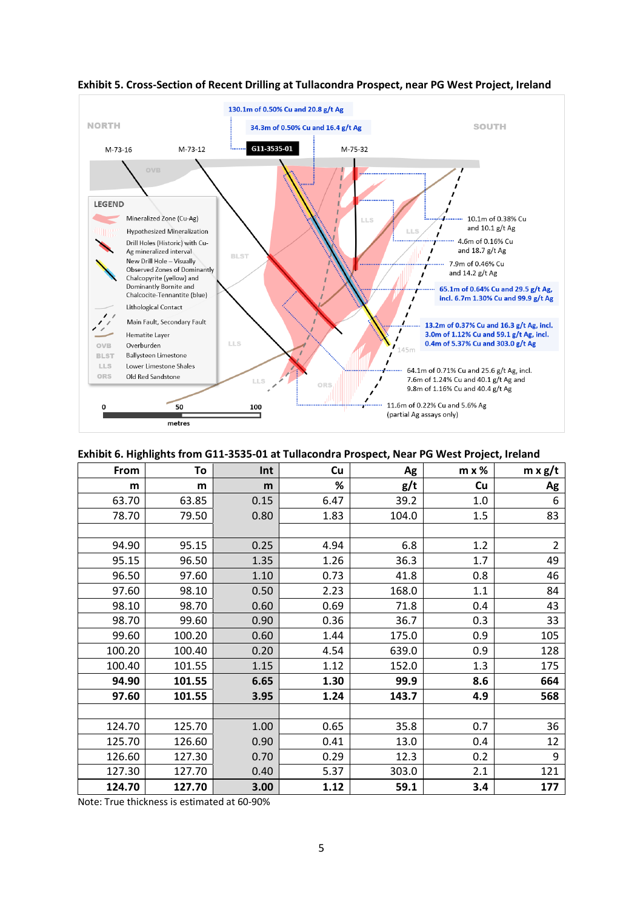

## **Exhibit 5. Cross-Section of Recent Drilling at Tullacondra Prospect, near PG West Project, Ireland**

#### **Exhibit 6. Highlights from G11-3535-01 at Tullacondra Prospect, Near PG West Project, Ireland**

| From   | To     | Int  | Cu   | Ag    | $m \times %$ | $m \times g/t$ |
|--------|--------|------|------|-------|--------------|----------------|
| m      | m      | m    | %    | g/t   | Cu           | Ag             |
| 63.70  | 63.85  | 0.15 | 6.47 | 39.2  | 1.0          | 6              |
| 78.70  | 79.50  | 0.80 | 1.83 | 104.0 | 1.5          | 83             |
|        |        |      |      |       |              |                |
| 94.90  | 95.15  | 0.25 | 4.94 | 6.8   | 1.2          | $\overline{2}$ |
| 95.15  | 96.50  | 1.35 | 1.26 | 36.3  | 1.7          | 49             |
| 96.50  | 97.60  | 1.10 | 0.73 | 41.8  | 0.8          | 46             |
| 97.60  | 98.10  | 0.50 | 2.23 | 168.0 | 1.1          | 84             |
| 98.10  | 98.70  | 0.60 | 0.69 | 71.8  | 0.4          | 43             |
| 98.70  | 99.60  | 0.90 | 0.36 | 36.7  | 0.3          | 33             |
| 99.60  | 100.20 | 0.60 | 1.44 | 175.0 | 0.9          | 105            |
| 100.20 | 100.40 | 0.20 | 4.54 | 639.0 | 0.9          | 128            |
| 100.40 | 101.55 | 1.15 | 1.12 | 152.0 | 1.3          | 175            |
| 94.90  | 101.55 | 6.65 | 1.30 | 99.9  | 8.6          | 664            |
| 97.60  | 101.55 | 3.95 | 1.24 | 143.7 | 4.9          | 568            |
|        |        |      |      |       |              |                |
| 124.70 | 125.70 | 1.00 | 0.65 | 35.8  | 0.7          | 36             |
| 125.70 | 126.60 | 0.90 | 0.41 | 13.0  | 0.4          | 12             |
| 126.60 | 127.30 | 0.70 | 0.29 | 12.3  | 0.2          | 9              |
| 127.30 | 127.70 | 0.40 | 5.37 | 303.0 | 2.1          | 121            |
| 124.70 | 127.70 | 3.00 | 1.12 | 59.1  | 3.4          | 177            |

Note: True thickness is estimated at 60-90%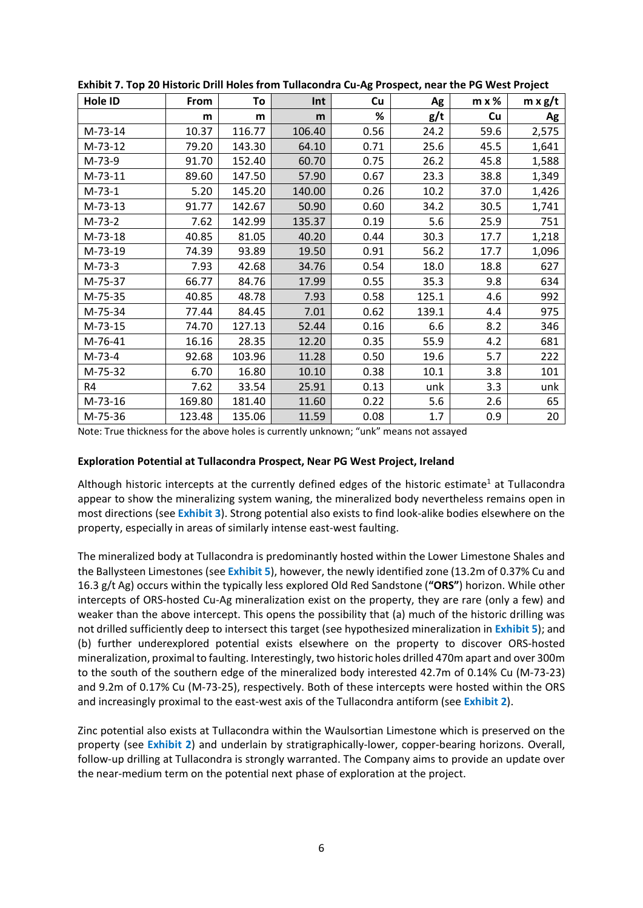| . סי      |        |        |        |      |       |               |                |
|-----------|--------|--------|--------|------|-------|---------------|----------------|
| Hole ID   | From   | To     | Int    | Cu   | Ag    | $m \times $ % | $m \times g/t$ |
|           | m      | m      | m      | %    | g/t   | Cu            | Ag             |
| M-73-14   | 10.37  | 116.77 | 106.40 | 0.56 | 24.2  | 59.6          | 2,575          |
| $M-73-12$ | 79.20  | 143.30 | 64.10  | 0.71 | 25.6  | 45.5          | 1,641          |
| M-73-9    | 91.70  | 152.40 | 60.70  | 0.75 | 26.2  | 45.8          | 1,588          |
| $M-73-11$ | 89.60  | 147.50 | 57.90  | 0.67 | 23.3  | 38.8          | 1,349          |
| $M-73-1$  | 5.20   | 145.20 | 140.00 | 0.26 | 10.2  | 37.0          | 1,426          |
| $M-73-13$ | 91.77  | 142.67 | 50.90  | 0.60 | 34.2  | 30.5          | 1,741          |
| $M-73-2$  | 7.62   | 142.99 | 135.37 | 0.19 | 5.6   | 25.9          | 751            |
| M-73-18   | 40.85  | 81.05  | 40.20  | 0.44 | 30.3  | 17.7          | 1,218          |
| M-73-19   | 74.39  | 93.89  | 19.50  | 0.91 | 56.2  | 17.7          | 1,096          |
| $M-73-3$  | 7.93   | 42.68  | 34.76  | 0.54 | 18.0  | 18.8          | 627            |
| M-75-37   | 66.77  | 84.76  | 17.99  | 0.55 | 35.3  | 9.8           | 634            |
| M-75-35   | 40.85  | 48.78  | 7.93   | 0.58 | 125.1 | 4.6           | 992            |
| M-75-34   | 77.44  | 84.45  | 7.01   | 0.62 | 139.1 | 4.4           | 975            |
| M-73-15   | 74.70  | 127.13 | 52.44  | 0.16 | 6.6   | 8.2           | 346            |
| M-76-41   | 16.16  | 28.35  | 12.20  | 0.35 | 55.9  | 4.2           | 681            |
| $M-73-4$  | 92.68  | 103.96 | 11.28  | 0.50 | 19.6  | 5.7           | 222            |
| M-75-32   | 6.70   | 16.80  | 10.10  | 0.38 | 10.1  | 3.8           | 101            |
| R4        | 7.62   | 33.54  | 25.91  | 0.13 | unk   | 3.3           | unk            |
| M-73-16   | 169.80 | 181.40 | 11.60  | 0.22 | 5.6   | 2.6           | 65             |
| M-75-36   | 123.48 | 135.06 | 11.59  | 0.08 | 1.7   | 0.9           | 20             |

**Exhibit 7. Top 20 Historic Drill Holes from Tullacondra Cu-Ag Prospect, near the PG West Project**

Note: True thickness for the above holes is currently unknown; "unk" means not assayed

#### **Exploration Potential at Tullacondra Prospect, Near PG West Project, Ireland**

Although historic intercepts at the currently defined edges of the historic estimate<sup>1</sup> at Tullacondra appear to show the mineralizing system waning, the mineralized body nevertheless remains open in most directions (see **Exhibit 3**). Strong potential also exists to find look-alike bodies elsewhere on the property, especially in areas of similarly intense east-west faulting.

The mineralized body at Tullacondra is predominantly hosted within the Lower Limestone Shales and the Ballysteen Limestones (see **Exhibit 5**), however, the newly identified zone (13.2m of 0.37% Cu and 16.3 g/t Ag) occurs within the typically less explored Old Red Sandstone (**"ORS"**) horizon. While other intercepts of ORS-hosted Cu-Ag mineralization exist on the property, they are rare (only a few) and weaker than the above intercept. This opens the possibility that (a) much of the historic drilling was not drilled sufficiently deep to intersect this target (see hypothesized mineralization in **Exhibit 5**); and (b) further underexplored potential exists elsewhere on the property to discover ORS-hosted mineralization, proximal to faulting. Interestingly, two historic holes drilled 470m apart and over 300m to the south of the southern edge of the mineralized body interested 42.7m of 0.14% Cu (M-73-23) and 9.2m of 0.17% Cu (M-73-25), respectively. Both of these intercepts were hosted within the ORS and increasingly proximal to the east-west axis of the Tullacondra antiform (see **Exhibit 2**).

Zinc potential also exists at Tullacondra within the Waulsortian Limestone which is preserved on the property (see **Exhibit 2**) and underlain by stratigraphically-lower, copper-bearing horizons. Overall, follow-up drilling at Tullacondra is strongly warranted. The Company aims to provide an update over the near-medium term on the potential next phase of exploration at the project.